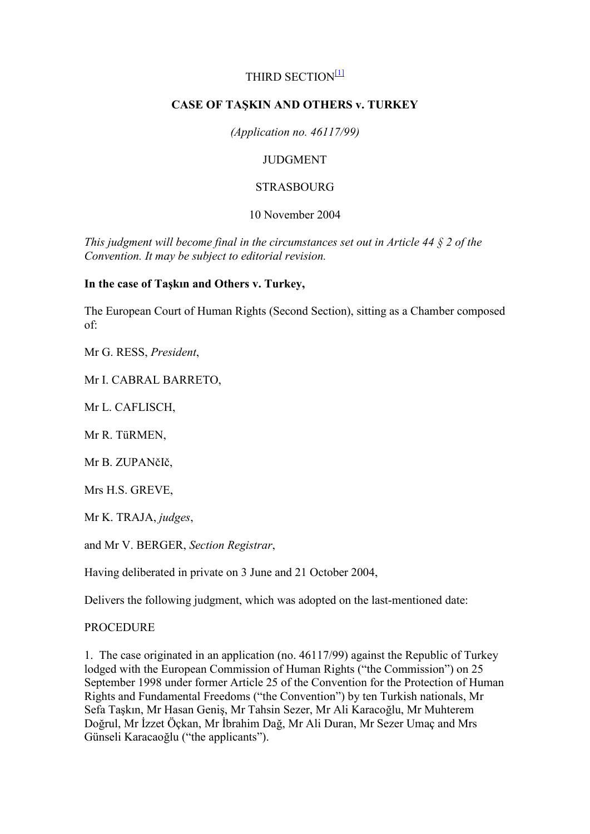## THIRD SECTION<sup>[1]</sup>

## **CASE OF TAŞKIN AND OTHERS v. TURKEY**

*(Application no. 46117/99)*

## **JUDGMENT**

### STRASBOURG

### 10 November 2004

*This judgment will become final in the circumstances set out in Article 44 § 2 of the Convention. It may be subject to editorial revision.*

### **In the case of Taşkın and Others v. Turkey,**

The European Court of Human Rights (Second Section), sitting as a Chamber composed of:

Mr G. RESS, *President*,

Mr I. CABRAL BARRETO,

Mr L. CAFLISCH,

Mr R. TüRMEN,

Mr B. ZUPANčIč,

Mrs H.S. GREVE,

Mr K. TRAJA, *judges*,

and Mr V. BERGER, *Section Registrar*,

Having deliberated in private on 3 June and 21 October 2004,

Delivers the following judgment, which was adopted on the last-mentioned date:

#### **PROCEDURE**

1. The case originated in an application (no. 46117/99) against the Republic of Turkey lodged with the European Commission of Human Rights ("the Commission") on 25 September 1998 under former Article 25 of the Convention for the Protection of Human Rights and Fundamental Freedoms ("the Convention") by ten Turkish nationals, Mr Sefa Taşkın, Mr Hasan Geniş, Mr Tahsin Sezer, Mr Ali Karacoğlu, Mr Muhterem Doğrul, Mr İzzet Öçkan, Mr İbrahim Dağ, Mr Ali Duran, Mr Sezer Umac and Mrs Günseli Karacaoğlu ("the applicants").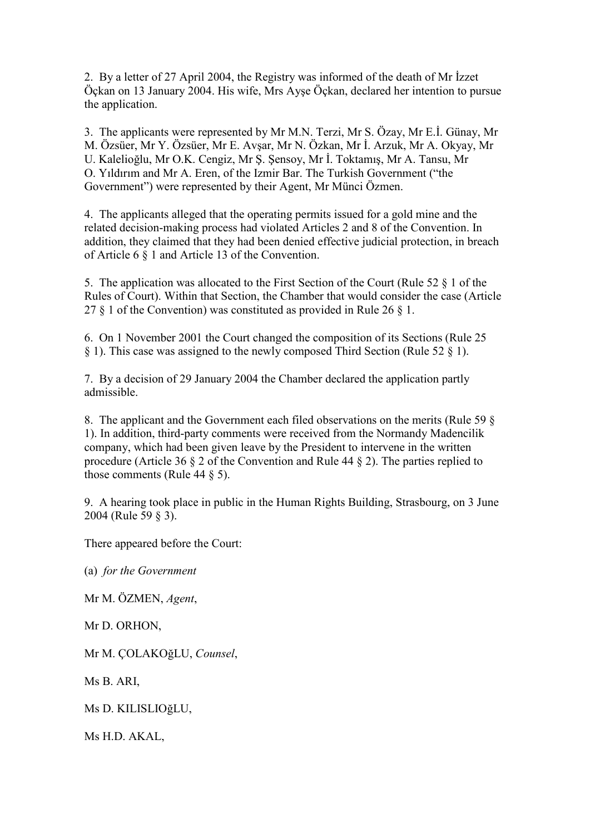2. By a letter of 27 April 2004, the Registry was informed of the death of Mr Izzet Öçkan on 13 January 2004. His wife, Mrs Ayşe Öçkan, declared her intention to pursue the application.

3. The applicants were represented by Mr M.N. Terzi, Mr S. Özay, Mr E.I. Günay, Mr M. Özsüer, Mr Y. Özsüer, Mr E. Avşar, Mr N. Özkan, Mr İ. Arzuk, Mr A. Okyay, Mr U. Kalelioğlu, Mr O.K. Cengiz, Mr Ş. Şensoy, Mr İ. Toktamış, Mr A. Tansu, Mr O. Yıldırım and Mr A. Eren, of the Izmir Bar. The Turkish Government ("the Government") were represented by their Agent, Mr Münci Özmen.

4. The applicants alleged that the operating permits issued for a gold mine and the related decision-making process had violated Articles 2 and 8 of the Convention. In addition, they claimed that they had been denied effective judicial protection, in breach of Article 6 § 1 and Article 13 of the Convention.

5. The application was allocated to the First Section of the Court (Rule 52 § 1 of the Rules of Court). Within that Section, the Chamber that would consider the case (Article 27  $\S$  1 of the Convention) was constituted as provided in Rule 26  $\S$  1.

6. On 1 November 2001 the Court changed the composition of its Sections (Rule 25 § 1). This case was assigned to the newly composed Third Section (Rule 52 § 1).

7. By a decision of 29 January 2004 the Chamber declared the application partly admissible.

8. The applicant and the Government each filed observations on the merits (Rule 59 § 1). In addition, third-party comments were received from the Normandy Madencilik company, which had been given leave by the President to intervene in the written procedure (Article 36 § 2 of the Convention and Rule 44 § 2). The parties replied to those comments (Rule 44 § 5).

9. A hearing took place in public in the Human Rights Building, Strasbourg, on 3 June 2004 (Rule 59 § 3).

There appeared before the Court:

(a) *for the Government*

Mr M. ÖZMEN, *Agent*,

Mr D. ORHON,

Mr M. ÇOLAKOğLU, *Counsel*,

Ms B. ARI,

Ms D. KILISLIOğLU,

Ms H.D. AKAL,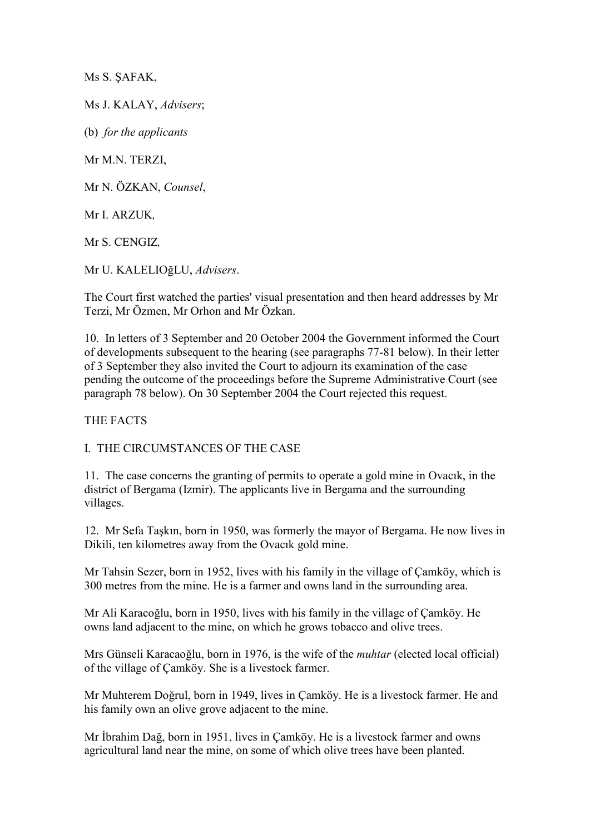Ms S. ŞAFAK,

Ms J. KALAY, *Advisers*;

(b) *for the applicants*

Mr M.N. TERZI,

Mr N. ÖZKAN, *Counsel*,

Mr I. ARZUK*,*

Mr S. CENGIZ*,*

Mr U. KALELIOğLU, *Advisers*.

The Court first watched the parties' visual presentation and then heard addresses by Mr Terzi, Mr Özmen, Mr Orhon and Mr Özkan.

10. In letters of 3 September and 20 October 2004 the Government informed the Court of developments subsequent to the hearing (see paragraphs 77-81 below). In their letter of 3 September they also invited the Court to adjourn its examination of the case pending the outcome of the proceedings before the Supreme Administrative Court (see paragraph 78 below). On 30 September 2004 the Court rejected this request.

THE FACTS

I. THE CIRCUMSTANCES OF THE CASE

11. The case concerns the granting of permits to operate a gold mine in Ovacık, in the district of Bergama (Izmir). The applicants live in Bergama and the surrounding villages.

12. Mr Sefa Taşkın, born in 1950, was formerly the mayor of Bergama. He now lives in Dikili, ten kilometres away from the Ovacık gold mine.

Mr Tahsin Sezer, born in 1952, lives with his family in the village of Çamköy, which is 300 metres from the mine. He is a farmer and owns land in the surrounding area.

Mr Ali Karacoğlu, born in 1950, lives with his family in the village of Çamköy. He owns land adjacent to the mine, on which he grows tobacco and olive trees.

Mrs Günseli Karacaoğlu, born in 1976, is the wife of the *muhtar* (elected local official) of the village of Çamköy. She is a livestock farmer.

Mr Muhterem Doğrul, born in 1949, lives in Çamköy. He is a livestock farmer. He and his family own an olive grove adjacent to the mine.

Mr İbrahim Dağ, born in 1951, lives in Çamköy. He is a livestock farmer and owns agricultural land near the mine, on some of which olive trees have been planted.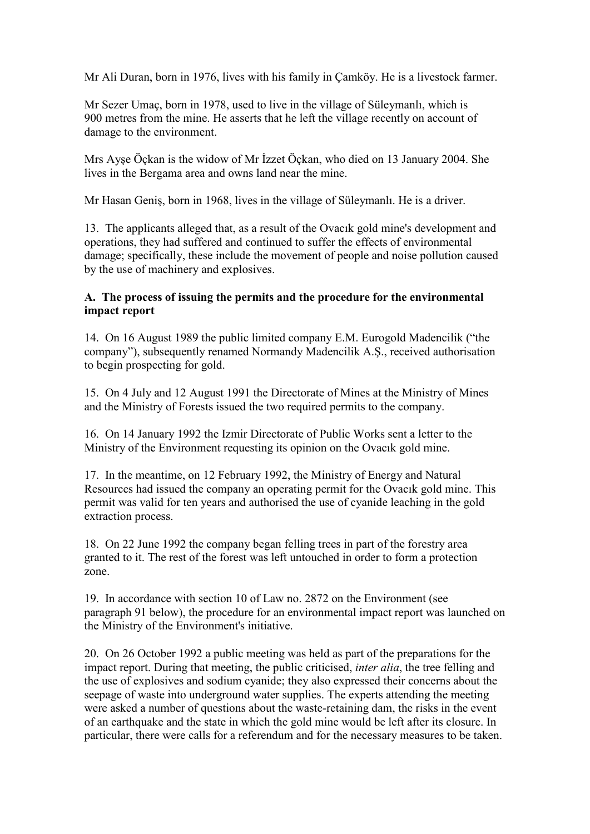Mr Ali Duran, born in 1976, lives with his family in Çamköy. He is a livestock farmer.

Mr Sezer Umaç, born in 1978, used to live in the village of Süleymanlı, which is 900 metres from the mine. He asserts that he left the village recently on account of damage to the environment.

Mrs Ayse Öçkan is the widow of Mr İzzet Öçkan, who died on 13 January 2004. She lives in the Bergama area and owns land near the mine.

Mr Hasan Geniş, born in 1968, lives in the village of Süleymanlı. He is a driver.

13. The applicants alleged that, as a result of the Ovacık gold mine's development and operations, they had suffered and continued to suffer the effects of environmental damage; specifically, these include the movement of people and noise pollution caused by the use of machinery and explosives.

### **A. The process of issuing the permits and the procedure for the environmental impact report**

14. On 16 August 1989 the public limited company E.M. Eurogold Madencilik ("the company"), subsequently renamed Normandy Madencilik A.Ş., received authorisation to begin prospecting for gold.

15. On 4 July and 12 August 1991 the Directorate of Mines at the Ministry of Mines and the Ministry of Forests issued the two required permits to the company.

16. On 14 January 1992 the Izmir Directorate of Public Works sent a letter to the Ministry of the Environment requesting its opinion on the Ovacık gold mine.

17. In the meantime, on 12 February 1992, the Ministry of Energy and Natural Resources had issued the company an operating permit for the Ovacık gold mine. This permit was valid for ten years and authorised the use of cyanide leaching in the gold extraction process.

18. On 22 June 1992 the company began felling trees in part of the forestry area granted to it. The rest of the forest was left untouched in order to form a protection zone.

19. In accordance with section 10 of Law no. 2872 on the Environment (see paragraph 91 below), the procedure for an environmental impact report was launched on the Ministry of the Environment's initiative.

20. On 26 October 1992 a public meeting was held as part of the preparations for the impact report. During that meeting, the public criticised, *inter alia*, the tree felling and the use of explosives and sodium cyanide; they also expressed their concerns about the seepage of waste into underground water supplies. The experts attending the meeting were asked a number of questions about the waste-retaining dam, the risks in the event of an earthquake and the state in which the gold mine would be left after its closure. In particular, there were calls for a referendum and for the necessary measures to be taken.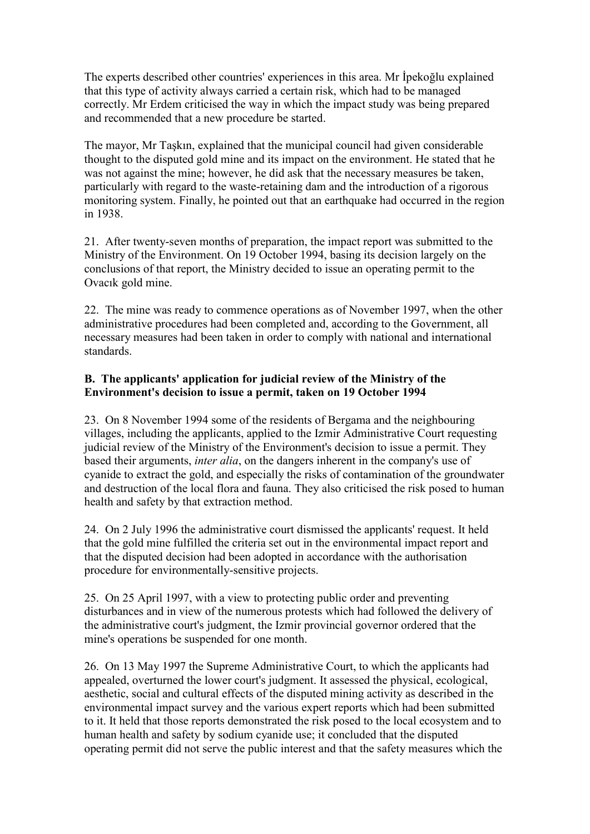The experts described other countries' experiences in this area. Mr Ipekoğlu explained that this type of activity always carried a certain risk, which had to be managed correctly. Mr Erdem criticised the way in which the impact study was being prepared and recommended that a new procedure be started.

The mayor, Mr Taşkın, explained that the municipal council had given considerable thought to the disputed gold mine and its impact on the environment. He stated that he was not against the mine; however, he did ask that the necessary measures be taken, particularly with regard to the waste-retaining dam and the introduction of a rigorous monitoring system. Finally, he pointed out that an earthquake had occurred in the region in 1938.

21. After twenty-seven months of preparation, the impact report was submitted to the Ministry of the Environment. On 19 October 1994, basing its decision largely on the conclusions of that report, the Ministry decided to issue an operating permit to the Ovacık gold mine.

22. The mine was ready to commence operations as of November 1997, when the other administrative procedures had been completed and, according to the Government, all necessary measures had been taken in order to comply with national and international standards.

## **B. The applicants' application for judicial review of the Ministry of the Environment's decision to issue a permit, taken on 19 October 1994**

23. On 8 November 1994 some of the residents of Bergama and the neighbouring villages, including the applicants, applied to the Izmir Administrative Court requesting judicial review of the Ministry of the Environment's decision to issue a permit. They based their arguments, *inter alia*, on the dangers inherent in the company's use of cyanide to extract the gold, and especially the risks of contamination of the groundwater and destruction of the local flora and fauna. They also criticised the risk posed to human health and safety by that extraction method.

24. On 2 July 1996 the administrative court dismissed the applicants' request. It held that the gold mine fulfilled the criteria set out in the environmental impact report and that the disputed decision had been adopted in accordance with the authorisation procedure for environmentally-sensitive projects.

25. On 25 April 1997, with a view to protecting public order and preventing disturbances and in view of the numerous protests which had followed the delivery of the administrative court's judgment, the Izmir provincial governor ordered that the mine's operations be suspended for one month.

26. On 13 May 1997 the Supreme Administrative Court, to which the applicants had appealed, overturned the lower court's judgment. It assessed the physical, ecological, aesthetic, social and cultural effects of the disputed mining activity as described in the environmental impact survey and the various expert reports which had been submitted to it. It held that those reports demonstrated the risk posed to the local ecosystem and to human health and safety by sodium cyanide use; it concluded that the disputed operating permit did not serve the public interest and that the safety measures which the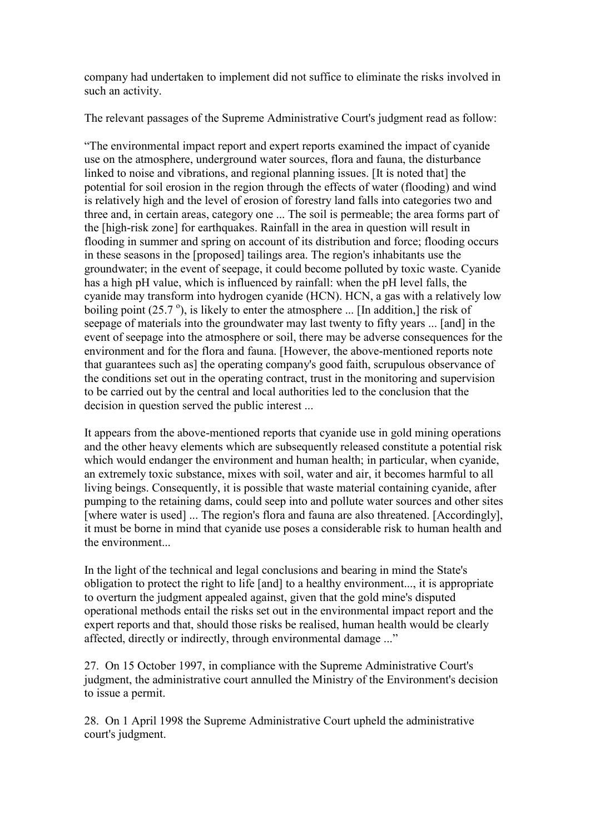company had undertaken to implement did not suffice to eliminate the risks involved in such an activity.

The relevant passages of the Supreme Administrative Court's judgment read as follow:

"The environmental impact report and expert reports examined the impact of cyanide use on the atmosphere, underground water sources, flora and fauna, the disturbance linked to noise and vibrations, and regional planning issues. [It is noted that] the potential for soil erosion in the region through the effects of water (flooding) and wind is relatively high and the level of erosion of forestry land falls into categories two and three and, in certain areas, category one ... The soil is permeable; the area forms part of the [high-risk zone] for earthquakes. Rainfall in the area in question will result in flooding in summer and spring on account of its distribution and force; flooding occurs in these seasons in the [proposed] tailings area. The region's inhabitants use the groundwater; in the event of seepage, it could become polluted by toxic waste. Cyanide has a high pH value, which is influenced by rainfall: when the pH level falls, the cyanide may transform into hydrogen cyanide (HCN). HCN, a gas with a relatively low boiling point  $(25.7^{\circ})$ , is likely to enter the atmosphere ... [In addition,] the risk of seepage of materials into the groundwater may last twenty to fifty years ... [and] in the event of seepage into the atmosphere or soil, there may be adverse consequences for the environment and for the flora and fauna. [However, the above-mentioned reports note that guarantees such as] the operating company's good faith, scrupulous observance of the conditions set out in the operating contract, trust in the monitoring and supervision to be carried out by the central and local authorities led to the conclusion that the decision in question served the public interest ...

It appears from the above-mentioned reports that cyanide use in gold mining operations and the other heavy elements which are subsequently released constitute a potential risk which would endanger the environment and human health; in particular, when cyanide, an extremely toxic substance, mixes with soil, water and air, it becomes harmful to all living beings. Consequently, it is possible that waste material containing cyanide, after pumping to the retaining dams, could seep into and pollute water sources and other sites [where water is used] ... The region's flora and fauna are also threatened. [Accordingly], it must be borne in mind that cyanide use poses a considerable risk to human health and the environment...

In the light of the technical and legal conclusions and bearing in mind the State's obligation to protect the right to life [and] to a healthy environment..., it is appropriate to overturn the judgment appealed against, given that the gold mine's disputed operational methods entail the risks set out in the environmental impact report and the expert reports and that, should those risks be realised, human health would be clearly affected, directly or indirectly, through environmental damage ..."

27. On 15 October 1997, in compliance with the Supreme Administrative Court's judgment, the administrative court annulled the Ministry of the Environment's decision to issue a permit.

28. On 1 April 1998 the Supreme Administrative Court upheld the administrative court's judgment.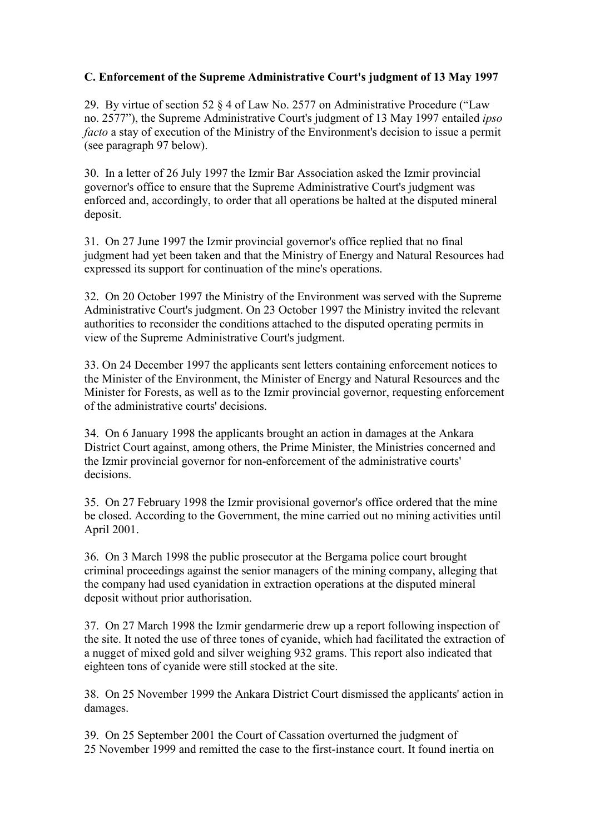## **C. Enforcement of the Supreme Administrative Court's judgment of 13 May 1997**

29. By virtue of section 52 § 4 of Law No. 2577 on Administrative Procedure ("Law no. 2577"), the Supreme Administrative Court's judgment of 13 May 1997 entailed *ipso facto* a stay of execution of the Ministry of the Environment's decision to issue a permit (see paragraph 97 below).

30. In a letter of 26 July 1997 the Izmir Bar Association asked the Izmir provincial governor's office to ensure that the Supreme Administrative Court's judgment was enforced and, accordingly, to order that all operations be halted at the disputed mineral deposit.

31. On 27 June 1997 the Izmir provincial governor's office replied that no final judgment had yet been taken and that the Ministry of Energy and Natural Resources had expressed its support for continuation of the mine's operations.

32. On 20 October 1997 the Ministry of the Environment was served with the Supreme Administrative Court's judgment. On 23 October 1997 the Ministry invited the relevant authorities to reconsider the conditions attached to the disputed operating permits in view of the Supreme Administrative Court's judgment.

33. On 24 December 1997 the applicants sent letters containing enforcement notices to the Minister of the Environment, the Minister of Energy and Natural Resources and the Minister for Forests, as well as to the Izmir provincial governor, requesting enforcement of the administrative courts' decisions.

34. On 6 January 1998 the applicants brought an action in damages at the Ankara District Court against, among others, the Prime Minister, the Ministries concerned and the Izmir provincial governor for non-enforcement of the administrative courts' decisions.

35. On 27 February 1998 the Izmir provisional governor's office ordered that the mine be closed. According to the Government, the mine carried out no mining activities until April 2001.

36. On 3 March 1998 the public prosecutor at the Bergama police court brought criminal proceedings against the senior managers of the mining company, alleging that the company had used cyanidation in extraction operations at the disputed mineral deposit without prior authorisation.

37. On 27 March 1998 the Izmir gendarmerie drew up a report following inspection of the site. It noted the use of three tones of cyanide, which had facilitated the extraction of a nugget of mixed gold and silver weighing 932 grams. This report also indicated that eighteen tons of cyanide were still stocked at the site.

38. On 25 November 1999 the Ankara District Court dismissed the applicants' action in damages.

39. On 25 September 2001 the Court of Cassation overturned the judgment of 25 November 1999 and remitted the case to the first-instance court. It found inertia on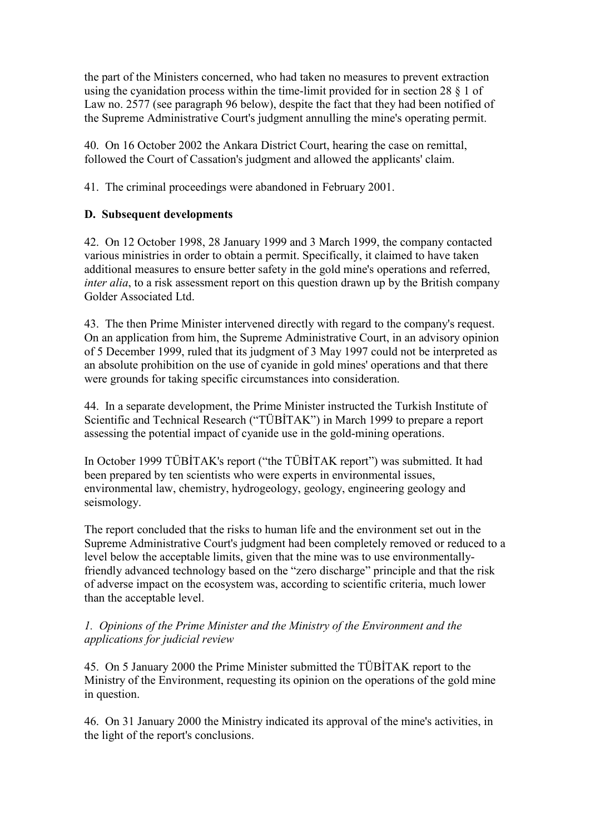the part of the Ministers concerned, who had taken no measures to prevent extraction using the cyanidation process within the time-limit provided for in section 28 § 1 of Law no. 2577 (see paragraph 96 below), despite the fact that they had been notified of the Supreme Administrative Court's judgment annulling the mine's operating permit.

40. On 16 October 2002 the Ankara District Court, hearing the case on remittal, followed the Court of Cassation's judgment and allowed the applicants' claim.

41. The criminal proceedings were abandoned in February 2001.

# **D. Subsequent developments**

42. On 12 October 1998, 28 January 1999 and 3 March 1999, the company contacted various ministries in order to obtain a permit. Specifically, it claimed to have taken additional measures to ensure better safety in the gold mine's operations and referred, *inter alia*, to a risk assessment report on this question drawn up by the British company Golder Associated Ltd.

43. The then Prime Minister intervened directly with regard to the company's request. On an application from him, the Supreme Administrative Court, in an advisory opinion of 5 December 1999, ruled that its judgment of 3 May 1997 could not be interpreted as an absolute prohibition on the use of cyanide in gold mines' operations and that there were grounds for taking specific circumstances into consideration.

44. In a separate development, the Prime Minister instructed the Turkish Institute of Scientific and Technical Research ("TÜBİTAK") in March 1999 to prepare a report assessing the potential impact of cyanide use in the gold-mining operations.

In October 1999 TÜBİTAK's report ("the TÜBİTAK report") was submitted. It had been prepared by ten scientists who were experts in environmental issues, environmental law, chemistry, hydrogeology, geology, engineering geology and seismology.

The report concluded that the risks to human life and the environment set out in the Supreme Administrative Court's judgment had been completely removed or reduced to a level below the acceptable limits, given that the mine was to use environmentallyfriendly advanced technology based on the "zero discharge" principle and that the risk of adverse impact on the ecosystem was, according to scientific criteria, much lower than the acceptable level.

## *1. Opinions of the Prime Minister and the Ministry of the Environment and the applications for judicial review*

45. On 5 January 2000 the Prime Minister submitted the TÜBİTAK report to the Ministry of the Environment, requesting its opinion on the operations of the gold mine in question.

46. On 31 January 2000 the Ministry indicated its approval of the mine's activities, in the light of the report's conclusions.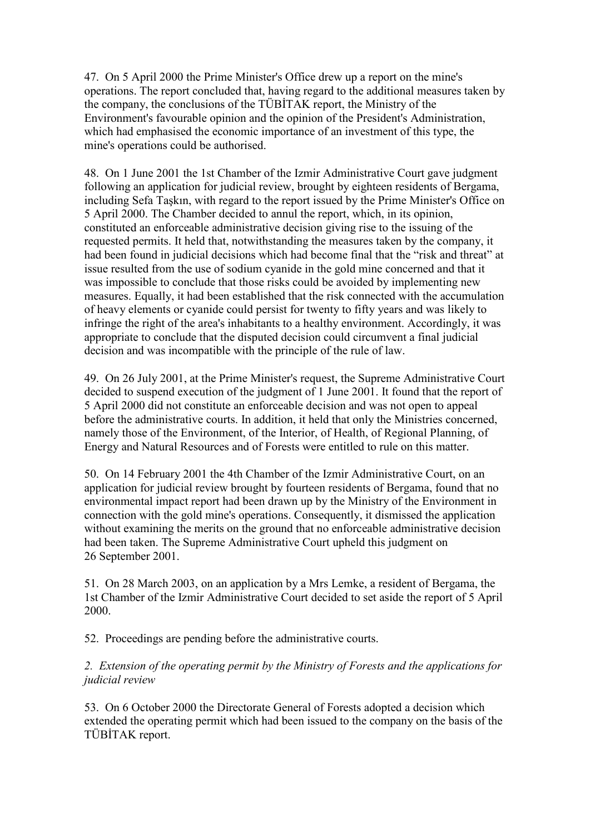47. On 5 April 2000 the Prime Minister's Office drew up a report on the mine's operations. The report concluded that, having regard to the additional measures taken by the company, the conclusions of the TÜBİTAK report, the Ministry of the Environment's favourable opinion and the opinion of the President's Administration, which had emphasised the economic importance of an investment of this type, the mine's operations could be authorised.

48. On 1 June 2001 the 1st Chamber of the Izmir Administrative Court gave judgment following an application for judicial review, brought by eighteen residents of Bergama, including Sefa Taşkın, with regard to the report issued by the Prime Minister's Office on 5 April 2000. The Chamber decided to annul the report, which, in its opinion, constituted an enforceable administrative decision giving rise to the issuing of the requested permits. It held that, notwithstanding the measures taken by the company, it had been found in judicial decisions which had become final that the "risk and threat" at issue resulted from the use of sodium cyanide in the gold mine concerned and that it was impossible to conclude that those risks could be avoided by implementing new measures. Equally, it had been established that the risk connected with the accumulation of heavy elements or cyanide could persist for twenty to fifty years and was likely to infringe the right of the area's inhabitants to a healthy environment. Accordingly, it was appropriate to conclude that the disputed decision could circumvent a final judicial decision and was incompatible with the principle of the rule of law.

49. On 26 July 2001, at the Prime Minister's request, the Supreme Administrative Court decided to suspend execution of the judgment of 1 June 2001. It found that the report of 5 April 2000 did not constitute an enforceable decision and was not open to appeal before the administrative courts. In addition, it held that only the Ministries concerned, namely those of the Environment, of the Interior, of Health, of Regional Planning, of Energy and Natural Resources and of Forests were entitled to rule on this matter.

50. On 14 February 2001 the 4th Chamber of the Izmir Administrative Court, on an application for judicial review brought by fourteen residents of Bergama, found that no environmental impact report had been drawn up by the Ministry of the Environment in connection with the gold mine's operations. Consequently, it dismissed the application without examining the merits on the ground that no enforceable administrative decision had been taken. The Supreme Administrative Court upheld this judgment on 26 September 2001.

51. On 28 March 2003, on an application by a Mrs Lemke, a resident of Bergama, the 1st Chamber of the Izmir Administrative Court decided to set aside the report of 5 April 2000.

52. Proceedings are pending before the administrative courts.

*2. Extension of the operating permit by the Ministry of Forests and the applications for judicial review*

53. On 6 October 2000 the Directorate General of Forests adopted a decision which extended the operating permit which had been issued to the company on the basis of the TÜBİTAK report.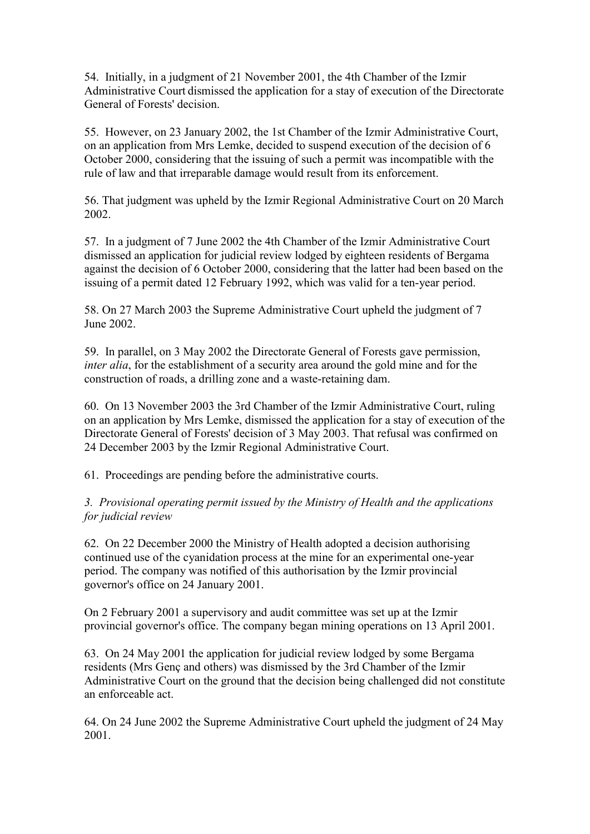54. Initially, in a judgment of 21 November 2001, the 4th Chamber of the Izmir Administrative Court dismissed the application for a stay of execution of the Directorate General of Forests' decision.

55. However, on 23 January 2002, the 1st Chamber of the Izmir Administrative Court, on an application from Mrs Lemke, decided to suspend execution of the decision of 6 October 2000, considering that the issuing of such a permit was incompatible with the rule of law and that irreparable damage would result from its enforcement.

56. That judgment was upheld by the Izmir Regional Administrative Court on 20 March 2002.

57. In a judgment of 7 June 2002 the 4th Chamber of the Izmir Administrative Court dismissed an application for judicial review lodged by eighteen residents of Bergama against the decision of 6 October 2000, considering that the latter had been based on the issuing of a permit dated 12 February 1992, which was valid for a ten-year period.

58. On 27 March 2003 the Supreme Administrative Court upheld the judgment of 7 June 2002.

59. In parallel, on 3 May 2002 the Directorate General of Forests gave permission, *inter alia*, for the establishment of a security area around the gold mine and for the construction of roads, a drilling zone and a waste-retaining dam.

60. On 13 November 2003 the 3rd Chamber of the Izmir Administrative Court, ruling on an application by Mrs Lemke, dismissed the application for a stay of execution of the Directorate General of Forests' decision of 3 May 2003. That refusal was confirmed on 24 December 2003 by the Izmir Regional Administrative Court.

61. Proceedings are pending before the administrative courts.

*3. Provisional operating permit issued by the Ministry of Health and the applications for judicial review*

62. On 22 December 2000 the Ministry of Health adopted a decision authorising continued use of the cyanidation process at the mine for an experimental one-year period. The company was notified of this authorisation by the Izmir provincial governor's office on 24 January 2001.

On 2 February 2001 a supervisory and audit committee was set up at the Izmir provincial governor's office. The company began mining operations on 13 April 2001.

63. On 24 May 2001 the application for judicial review lodged by some Bergama residents (Mrs Genç and others) was dismissed by the 3rd Chamber of the Izmir Administrative Court on the ground that the decision being challenged did not constitute an enforceable act.

64. On 24 June 2002 the Supreme Administrative Court upheld the judgment of 24 May 2001.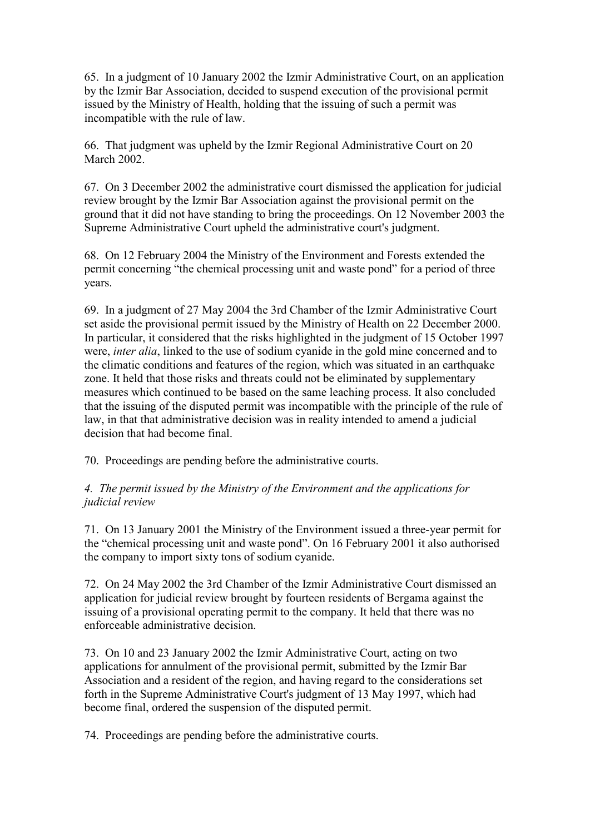65. In a judgment of 10 January 2002 the Izmir Administrative Court, on an application by the Izmir Bar Association, decided to suspend execution of the provisional permit issued by the Ministry of Health, holding that the issuing of such a permit was incompatible with the rule of law.

66. That judgment was upheld by the Izmir Regional Administrative Court on 20 March 2002.

67. On 3 December 2002 the administrative court dismissed the application for judicial review brought by the Izmir Bar Association against the provisional permit on the ground that it did not have standing to bring the proceedings. On 12 November 2003 the Supreme Administrative Court upheld the administrative court's judgment.

68. On 12 February 2004 the Ministry of the Environment and Forests extended the permit concerning "the chemical processing unit and waste pond" for a period of three years.

69. In a judgment of 27 May 2004 the 3rd Chamber of the Izmir Administrative Court set aside the provisional permit issued by the Ministry of Health on 22 December 2000. In particular, it considered that the risks highlighted in the judgment of 15 October 1997 were, *inter alia*, linked to the use of sodium cyanide in the gold mine concerned and to the climatic conditions and features of the region, which was situated in an earthquake zone. It held that those risks and threats could not be eliminated by supplementary measures which continued to be based on the same leaching process. It also concluded that the issuing of the disputed permit was incompatible with the principle of the rule of law, in that that administrative decision was in reality intended to amend a judicial decision that had become final.

70. Proceedings are pending before the administrative courts.

## *4. The permit issued by the Ministry of the Environment and the applications for judicial review*

71. On 13 January 2001 the Ministry of the Environment issued a three-year permit for the "chemical processing unit and waste pond". On 16 February 2001 it also authorised the company to import sixty tons of sodium cyanide.

72. On 24 May 2002 the 3rd Chamber of the Izmir Administrative Court dismissed an application for judicial review brought by fourteen residents of Bergama against the issuing of a provisional operating permit to the company. It held that there was no enforceable administrative decision.

73. On 10 and 23 January 2002 the Izmir Administrative Court, acting on two applications for annulment of the provisional permit, submitted by the Izmir Bar Association and a resident of the region, and having regard to the considerations set forth in the Supreme Administrative Court's judgment of 13 May 1997, which had become final, ordered the suspension of the disputed permit.

74. Proceedings are pending before the administrative courts.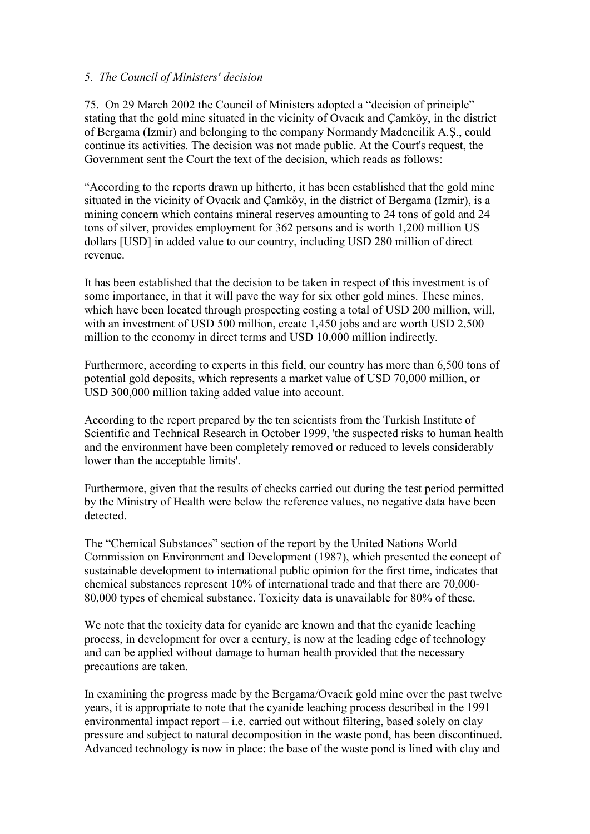### *5. The Council of Ministers' decision*

75. On 29 March 2002 the Council of Ministers adopted a "decision of principle" stating that the gold mine situated in the vicinity of Ovacık and Çamköy, in the district of Bergama (Izmir) and belonging to the company Normandy Madencilik A.Ş., could continue its activities. The decision was not made public. At the Court's request, the Government sent the Court the text of the decision, which reads as follows:

"According to the reports drawn up hitherto, it has been established that the gold mine situated in the vicinity of Ovacık and Çamköy, in the district of Bergama (Izmir), is a mining concern which contains mineral reserves amounting to 24 tons of gold and 24 tons of silver, provides employment for 362 persons and is worth 1,200 million US dollars [USD] in added value to our country, including USD 280 million of direct revenue.

It has been established that the decision to be taken in respect of this investment is of some importance, in that it will pave the way for six other gold mines. These mines, which have been located through prospecting costing a total of USD 200 million, will, with an investment of USD 500 million, create 1,450 jobs and are worth USD 2,500 million to the economy in direct terms and USD 10,000 million indirectly.

Furthermore, according to experts in this field, our country has more than 6,500 tons of potential gold deposits, which represents a market value of USD 70,000 million, or USD 300,000 million taking added value into account.

According to the report prepared by the ten scientists from the Turkish Institute of Scientific and Technical Research in October 1999, 'the suspected risks to human health and the environment have been completely removed or reduced to levels considerably lower than the acceptable limits'.

Furthermore, given that the results of checks carried out during the test period permitted by the Ministry of Health were below the reference values, no negative data have been detected.

The "Chemical Substances" section of the report by the United Nations World Commission on Environment and Development (1987), which presented the concept of sustainable development to international public opinion for the first time, indicates that chemical substances represent 10% of international trade and that there are 70,000- 80,000 types of chemical substance. Toxicity data is unavailable for 80% of these.

We note that the toxicity data for cyanide are known and that the cyanide leaching process, in development for over a century, is now at the leading edge of technology and can be applied without damage to human health provided that the necessary precautions are taken.

In examining the progress made by the Bergama/Ovacık gold mine over the past twelve years, it is appropriate to note that the cyanide leaching process described in the 1991 environmental impact report – i.e. carried out without filtering, based solely on clay pressure and subject to natural decomposition in the waste pond, has been discontinued. Advanced technology is now in place: the base of the waste pond is lined with clay and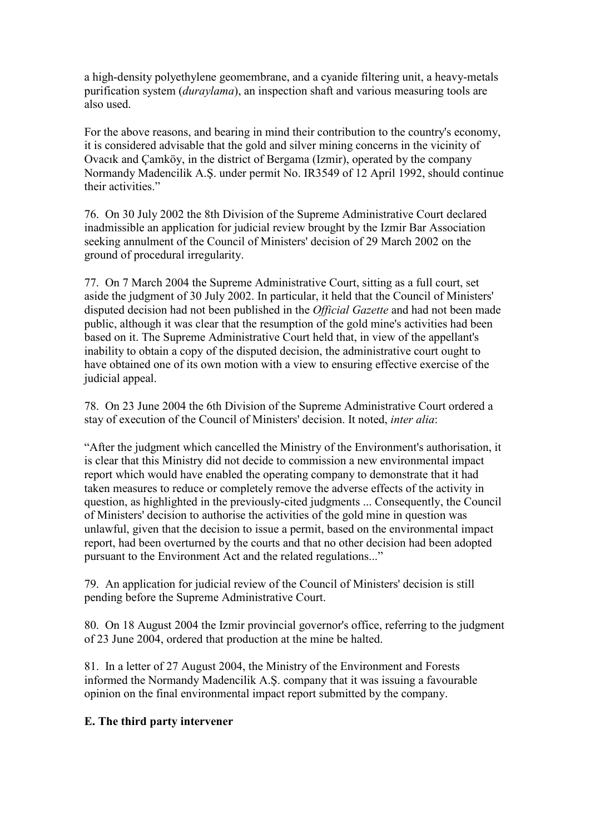a high-density polyethylene geomembrane, and a cyanide filtering unit, a heavy-metals purification system (*duraylama*), an inspection shaft and various measuring tools are also used.

For the above reasons, and bearing in mind their contribution to the country's economy, it is considered advisable that the gold and silver mining concerns in the vicinity of Ovacık and Çamköy, in the district of Bergama (Izmir), operated by the company Normandy Madencilik A.Ş. under permit No. IR3549 of 12 April 1992, should continue their activities."

76. On 30 July 2002 the 8th Division of the Supreme Administrative Court declared inadmissible an application for judicial review brought by the Izmir Bar Association seeking annulment of the Council of Ministers' decision of 29 March 2002 on the ground of procedural irregularity.

77. On 7 March 2004 the Supreme Administrative Court, sitting as a full court, set aside the judgment of 30 July 2002. In particular, it held that the Council of Ministers' disputed decision had not been published in the *Official Gazette* and had not been made public, although it was clear that the resumption of the gold mine's activities had been based on it. The Supreme Administrative Court held that, in view of the appellant's inability to obtain a copy of the disputed decision, the administrative court ought to have obtained one of its own motion with a view to ensuring effective exercise of the judicial appeal.

78. On 23 June 2004 the 6th Division of the Supreme Administrative Court ordered a stay of execution of the Council of Ministers' decision. It noted, *inter alia*:

"After the judgment which cancelled the Ministry of the Environment's authorisation, it is clear that this Ministry did not decide to commission a new environmental impact report which would have enabled the operating company to demonstrate that it had taken measures to reduce or completely remove the adverse effects of the activity in question, as highlighted in the previously-cited judgments ... Consequently, the Council of Ministers' decision to authorise the activities of the gold mine in question was unlawful, given that the decision to issue a permit, based on the environmental impact report, had been overturned by the courts and that no other decision had been adopted pursuant to the Environment Act and the related regulations..."

79. An application for judicial review of the Council of Ministers' decision is still pending before the Supreme Administrative Court.

80. On 18 August 2004 the Izmir provincial governor's office, referring to the judgment of 23 June 2004, ordered that production at the mine be halted.

81. In a letter of 27 August 2004, the Ministry of the Environment and Forests informed the Normandy Madencilik A.Ş. company that it was issuing a favourable opinion on the final environmental impact report submitted by the company.

## **E. The third party intervener**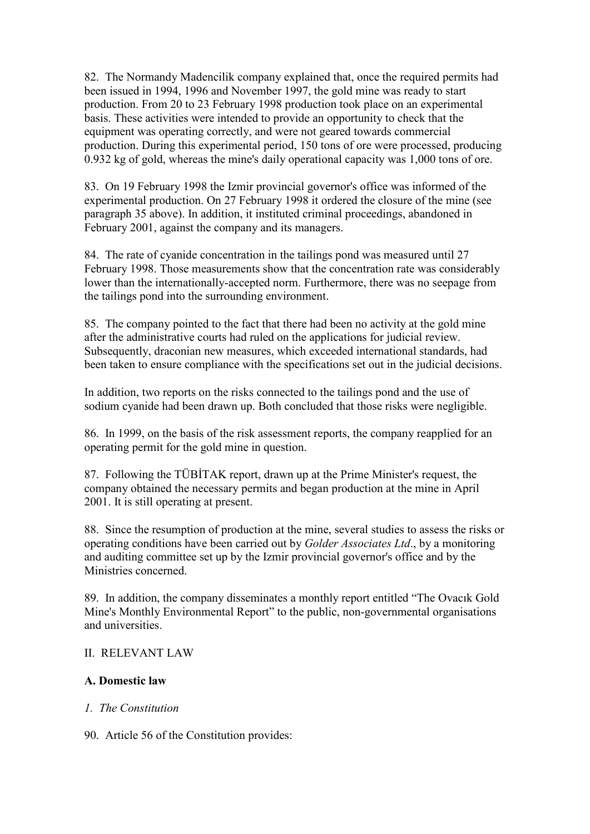82. The Normandy Madencilik company explained that, once the required permits had been issued in 1994, 1996 and November 1997, the gold mine was ready to start production. From 20 to 23 February 1998 production took place on an experimental basis. These activities were intended to provide an opportunity to check that the equipment was operating correctly, and were not geared towards commercial production. During this experimental period, 150 tons of ore were processed, producing 0.932 kg of gold, whereas the mine's daily operational capacity was 1,000 tons of ore.

83. On 19 February 1998 the Izmir provincial governor's office was informed of the experimental production. On 27 February 1998 it ordered the closure of the mine (see paragraph 35 above). In addition, it instituted criminal proceedings, abandoned in February 2001, against the company and its managers.

84. The rate of cyanide concentration in the tailings pond was measured until 27 February 1998. Those measurements show that the concentration rate was considerably lower than the internationally-accepted norm. Furthermore, there was no seepage from the tailings pond into the surrounding environment.

85. The company pointed to the fact that there had been no activity at the gold mine after the administrative courts had ruled on the applications for judicial review. Subsequently, draconian new measures, which exceeded international standards, had been taken to ensure compliance with the specifications set out in the judicial decisions.

In addition, two reports on the risks connected to the tailings pond and the use of sodium cyanide had been drawn up. Both concluded that those risks were negligible.

86. In 1999, on the basis of the risk assessment reports, the company reapplied for an operating permit for the gold mine in question.

87. Following the TÜBİTAK report, drawn up at the Prime Minister's request, the company obtained the necessary permits and began production at the mine in April 2001. It is still operating at present.

88. Since the resumption of production at the mine, several studies to assess the risks or operating conditions have been carried out by *Golder Associates Ltd*., by a monitoring and auditing committee set up by the Izmir provincial governor's office and by the Ministries concerned.

89. In addition, the company disseminates a monthly report entitled "The Ovacık Gold Mine's Monthly Environmental Report" to the public, non-governmental organisations and universities.

## II. RELEVANT LAW

## **A. Domestic law**

#### *1. The Constitution*

90. Article 56 of the Constitution provides: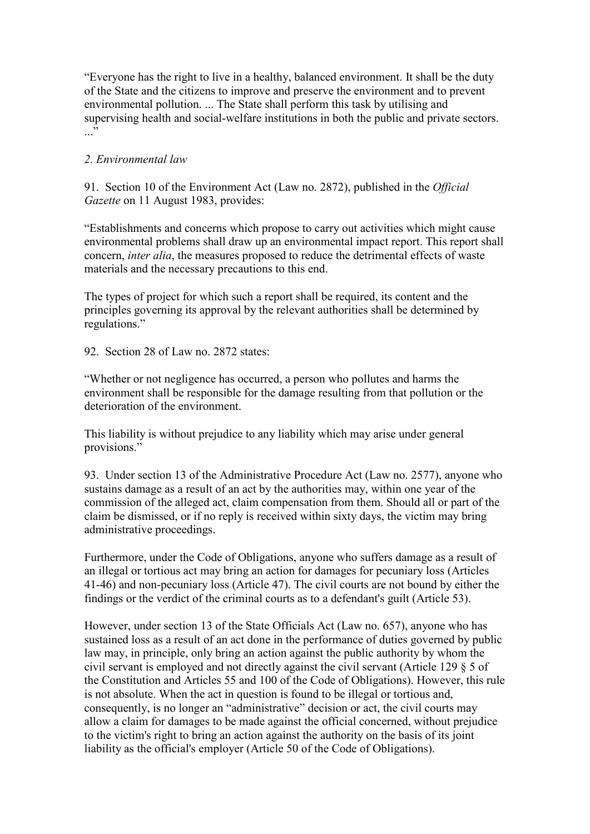"Everyone has the right to live in a healthy, balanced environment. It shall be the duty of the State and the citizens to improve and preserve the environment and to prevent environmental pollution. ... The State shall perform this task by utilising and supervising health and social-welfare institutions in both the public and private sectors.  $\cdot$ ..."

### *2. Environmental law*

91. Section 10 of the Environment Act (Law no. 2872), published in the *Official Gazette* on 11 August 1983, provides:

"Establishments and concerns which propose to carry out activities which might cause environmental problems shall draw up an environmental impact report. This report shall concern, *inter alia*, the measures proposed to reduce the detrimental effects of waste materials and the necessary precautions to this end.

The types of project for which such a report shall be required, its content and the principles governing its approval by the relevant authorities shall be determined by regulations."

92. Section 28 of Law no. 2872 states:

"Whether or not negligence has occurred, a person who pollutes and harms the environment shall be responsible for the damage resulting from that pollution or the deterioration of the environment.

This liability is without prejudice to any liability which may arise under general provisions."

93. Under section 13 of the Administrative Procedure Act (Law no. 2577), anyone who sustains damage as a result of an act by the authorities may, within one year of the commission of the alleged act, claim compensation from them. Should all or part of the claim be dismissed, or if no reply is received within sixty days, the victim may bring administrative proceedings.

Furthermore, under the Code of Obligations, anyone who suffers damage as a result of an illegal or tortious act may bring an action for damages for pecuniary loss (Articles 41-46) and non-pecuniary loss (Article 47). The civil courts are not bound by either the findings or the verdict of the criminal courts as to a defendant's guilt (Article 53).

However, under section 13 of the State Officials Act (Law no. 657), anyone who has sustained loss as a result of an act done in the performance of duties governed by public law may, in principle, only bring an action against the public authority by whom the civil servant is employed and not directly against the civil servant (Article 129 § 5 of the Constitution and Articles 55 and 100 of the Code of Obligations). However, this rule is not absolute. When the act in question is found to be illegal or tortious and, consequently, is no longer an "administrative" decision or act, the civil courts may allow a claim for damages to be made against the official concerned, without prejudice to the victim's right to bring an action against the authority on the basis of its joint liability as the official's employer (Article 50 of the Code of Obligations).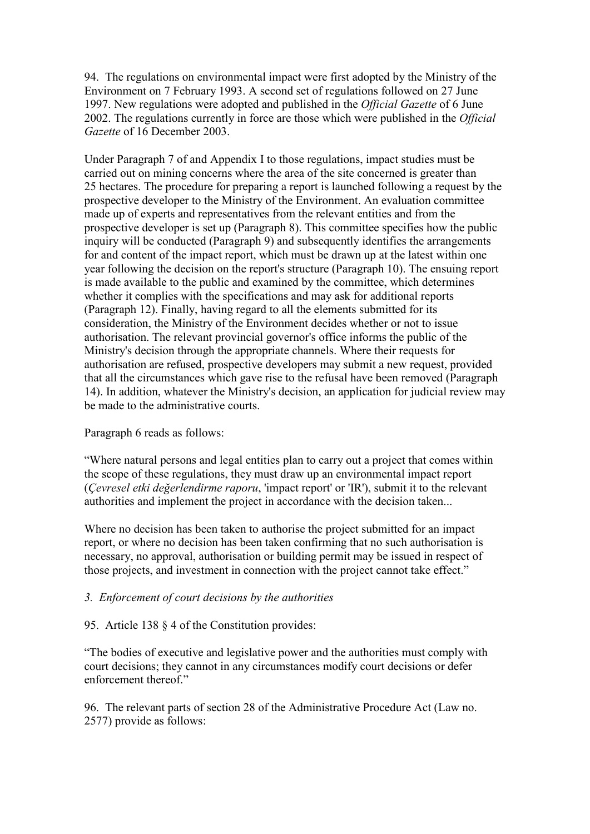94. The regulations on environmental impact were first adopted by the Ministry of the Environment on 7 February 1993. A second set of regulations followed on 27 June 1997. New regulations were adopted and published in the *Official Gazette* of 6 June 2002. The regulations currently in force are those which were published in the *Official Gazette* of 16 December 2003.

Under Paragraph 7 of and Appendix I to those regulations, impact studies must be carried out on mining concerns where the area of the site concerned is greater than 25 hectares. The procedure for preparing a report is launched following a request by the prospective developer to the Ministry of the Environment. An evaluation committee made up of experts and representatives from the relevant entities and from the prospective developer is set up (Paragraph 8). This committee specifies how the public inquiry will be conducted (Paragraph 9) and subsequently identifies the arrangements for and content of the impact report, which must be drawn up at the latest within one year following the decision on the report's structure (Paragraph 10). The ensuing report is made available to the public and examined by the committee, which determines whether it complies with the specifications and may ask for additional reports (Paragraph 12). Finally, having regard to all the elements submitted for its consideration, the Ministry of the Environment decides whether or not to issue authorisation. The relevant provincial governor's office informs the public of the Ministry's decision through the appropriate channels. Where their requests for authorisation are refused, prospective developers may submit a new request, provided that all the circumstances which gave rise to the refusal have been removed (Paragraph 14). In addition, whatever the Ministry's decision, an application for judicial review may be made to the administrative courts.

#### Paragraph 6 reads as follows:

"Where natural persons and legal entities plan to carry out a project that comes within the scope of these regulations, they must draw up an environmental impact report (*Çevresel etki değerlendirme raporu*, 'impact report' or 'IR'), submit it to the relevant authorities and implement the project in accordance with the decision taken...

Where no decision has been taken to authorise the project submitted for an impact report, or where no decision has been taken confirming that no such authorisation is necessary, no approval, authorisation or building permit may be issued in respect of those projects, and investment in connection with the project cannot take effect."

## *3. Enforcement of court decisions by the authorities*

95. Article 138 § 4 of the Constitution provides:

"The bodies of executive and legislative power and the authorities must comply with court decisions; they cannot in any circumstances modify court decisions or defer enforcement thereof"

96. The relevant parts of section 28 of the Administrative Procedure Act (Law no. 2577) provide as follows: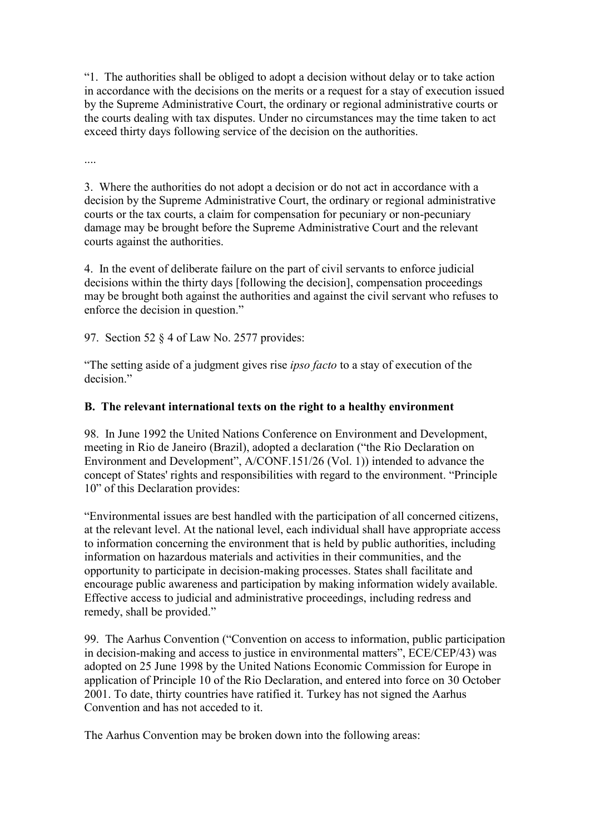"1. The authorities shall be obliged to adopt a decision without delay or to take action in accordance with the decisions on the merits or a request for a stay of execution issued by the Supreme Administrative Court, the ordinary or regional administrative courts or the courts dealing with tax disputes. Under no circumstances may the time taken to act exceed thirty days following service of the decision on the authorities.

....

3. Where the authorities do not adopt a decision or do not act in accordance with a decision by the Supreme Administrative Court, the ordinary or regional administrative courts or the tax courts, a claim for compensation for pecuniary or non-pecuniary damage may be brought before the Supreme Administrative Court and the relevant courts against the authorities.

4. In the event of deliberate failure on the part of civil servants to enforce judicial decisions within the thirty days [following the decision], compensation proceedings may be brought both against the authorities and against the civil servant who refuses to enforce the decision in question."

97. Section 52 § 4 of Law No. 2577 provides:

"The setting aside of a judgment gives rise *ipso facto* to a stay of execution of the decision<sup>"</sup>

### **B. The relevant international texts on the right to a healthy environment**

98. In June 1992 the United Nations Conference on Environment and Development, meeting in Rio de Janeiro (Brazil), adopted a declaration ("the Rio Declaration on Environment and Development", A/CONF.151/26 (Vol. 1)) intended to advance the concept of States' rights and responsibilities with regard to the environment. "Principle 10" of this Declaration provides:

"Environmental issues are best handled with the participation of all concerned citizens, at the relevant level. At the national level, each individual shall have appropriate access to information concerning the environment that is held by public authorities, including information on hazardous materials and activities in their communities, and the opportunity to participate in decision-making processes. States shall facilitate and encourage public awareness and participation by making information widely available. Effective access to judicial and administrative proceedings, including redress and remedy, shall be provided."

99. The Aarhus Convention ("Convention on access to information, public participation in decision-making and access to justice in environmental matters", ECE/CEP/43) was adopted on 25 June 1998 by the United Nations Economic Commission for Europe in application of Principle 10 of the Rio Declaration, and entered into force on 30 October 2001. To date, thirty countries have ratified it. Turkey has not signed the Aarhus Convention and has not acceded to it.

The Aarhus Convention may be broken down into the following areas: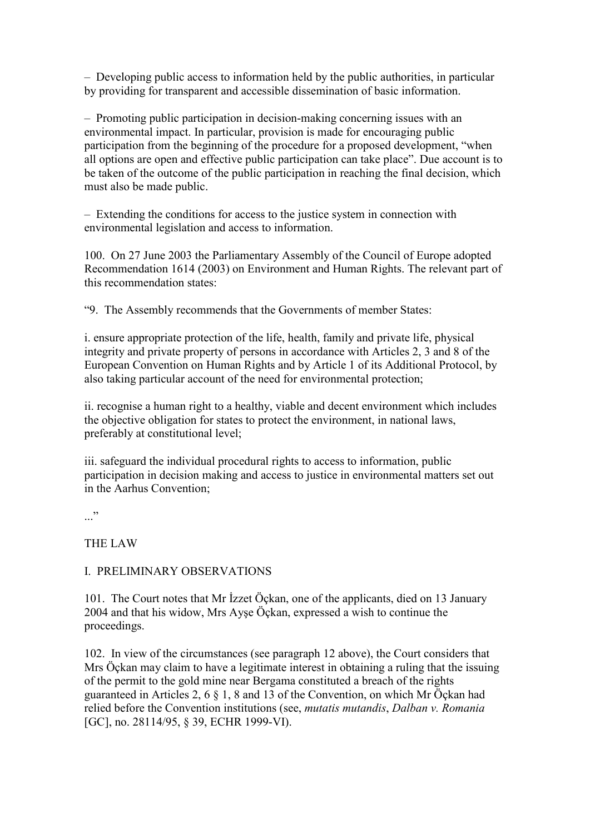– Developing public access to information held by the public authorities, in particular by providing for transparent and accessible dissemination of basic information.

– Promoting public participation in decision-making concerning issues with an environmental impact. In particular, provision is made for encouraging public participation from the beginning of the procedure for a proposed development, "when all options are open and effective public participation can take place". Due account is to be taken of the outcome of the public participation in reaching the final decision, which must also be made public.

– Extending the conditions for access to the justice system in connection with environmental legislation and access to information.

100. On 27 June 2003 the Parliamentary Assembly of the Council of Europe adopted Recommendation 1614 (2003) on Environment and Human Rights. The relevant part of this recommendation states:

"9. The Assembly recommends that the Governments of member States:

i. ensure appropriate protection of the life, health, family and private life, physical integrity and private property of persons in accordance with Articles 2, 3 and 8 of the European Convention on Human Rights and by Article 1 of its Additional Protocol, by also taking particular account of the need for environmental protection;

ii. recognise a human right to a healthy, viable and decent environment which includes the objective obligation for states to protect the environment, in national laws, preferably at constitutional level;

iii. safeguard the individual procedural rights to access to information, public participation in decision making and access to justice in environmental matters set out in the Aarhus Convention;

..."

THE LAW

#### I. PRELIMINARY OBSERVATIONS

101. The Court notes that Mr Izzet Öçkan, one of the applicants, died on 13 January 2004 and that his widow, Mrs Ayşe Öçkan, expressed a wish to continue the proceedings.

102. In view of the circumstances (see paragraph 12 above), the Court considers that Mrs Öçkan may claim to have a legitimate interest in obtaining a ruling that the issuing of the permit to the gold mine near Bergama constituted a breach of the rights guaranteed in Articles 2, 6 § 1, 8 and 13 of the Convention, on which Mr Öçkan had relied before the Convention institutions (see, *mutatis mutandis*, *Dalban v. Romania* [GC], no. 28114/95, 8 39, ECHR 1999-VI).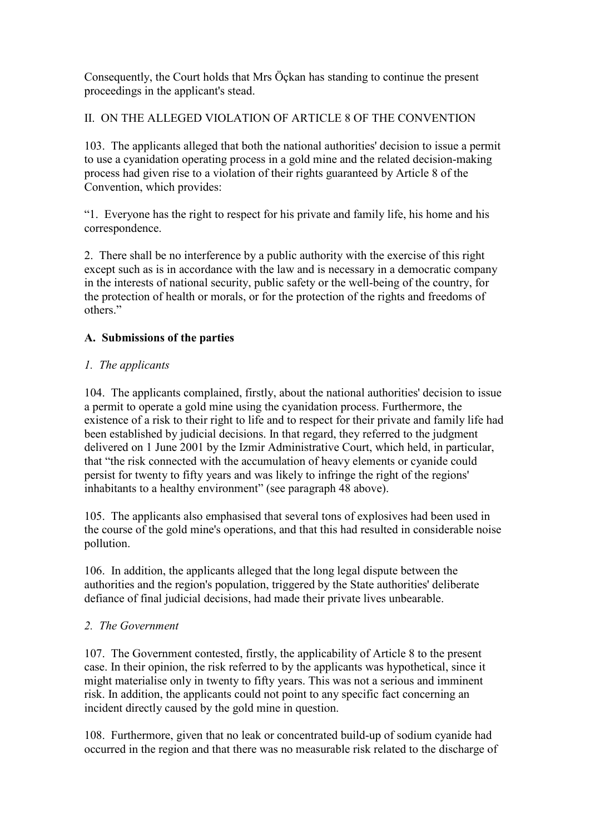Consequently, the Court holds that Mrs Öçkan has standing to continue the present proceedings in the applicant's stead.

II. ON THE ALLEGED VIOLATION OF ARTICLE 8 OF THE CONVENTION

103. The applicants alleged that both the national authorities' decision to issue a permit to use a cyanidation operating process in a gold mine and the related decision-making process had given rise to a violation of their rights guaranteed by Article 8 of the Convention, which provides:

"1. Everyone has the right to respect for his private and family life, his home and his correspondence.

2. There shall be no interference by a public authority with the exercise of this right except such as is in accordance with the law and is necessary in a democratic company in the interests of national security, public safety or the well-being of the country, for the protection of health or morals, or for the protection of the rights and freedoms of others<sup>"</sup>

## **A. Submissions of the parties**

## *1. The applicants*

104. The applicants complained, firstly, about the national authorities' decision to issue a permit to operate a gold mine using the cyanidation process. Furthermore, the existence of a risk to their right to life and to respect for their private and family life had been established by judicial decisions. In that regard, they referred to the judgment delivered on 1 June 2001 by the Izmir Administrative Court, which held, in particular, that "the risk connected with the accumulation of heavy elements or cyanide could persist for twenty to fifty years and was likely to infringe the right of the regions' inhabitants to a healthy environment" (see paragraph 48 above).

105. The applicants also emphasised that several tons of explosives had been used in the course of the gold mine's operations, and that this had resulted in considerable noise pollution.

106. In addition, the applicants alleged that the long legal dispute between the authorities and the region's population, triggered by the State authorities' deliberate defiance of final judicial decisions, had made their private lives unbearable.

## *2. The Government*

107. The Government contested, firstly, the applicability of Article 8 to the present case. In their opinion, the risk referred to by the applicants was hypothetical, since it might materialise only in twenty to fifty years. This was not a serious and imminent risk. In addition, the applicants could not point to any specific fact concerning an incident directly caused by the gold mine in question.

108. Furthermore, given that no leak or concentrated build-up of sodium cyanide had occurred in the region and that there was no measurable risk related to the discharge of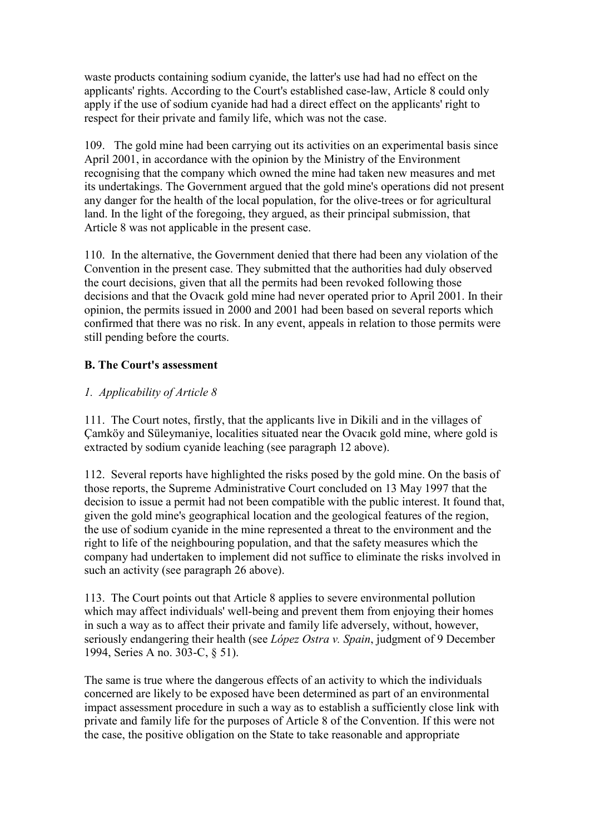waste products containing sodium cyanide, the latter's use had had no effect on the applicants' rights. According to the Court's established case-law, Article 8 could only apply if the use of sodium cyanide had had a direct effect on the applicants' right to respect for their private and family life, which was not the case.

109. The gold mine had been carrying out its activities on an experimental basis since April 2001, in accordance with the opinion by the Ministry of the Environment recognising that the company which owned the mine had taken new measures and met its undertakings. The Government argued that the gold mine's operations did not present any danger for the health of the local population, for the olive-trees or for agricultural land. In the light of the foregoing, they argued, as their principal submission, that Article 8 was not applicable in the present case.

110. In the alternative, the Government denied that there had been any violation of the Convention in the present case. They submitted that the authorities had duly observed the court decisions, given that all the permits had been revoked following those decisions and that the Ovacık gold mine had never operated prior to April 2001. In their opinion, the permits issued in 2000 and 2001 had been based on several reports which confirmed that there was no risk. In any event, appeals in relation to those permits were still pending before the courts.

## **B. The Court's assessment**

## *1. Applicability of Article 8*

111. The Court notes, firstly, that the applicants live in Dikili and in the villages of Çamköy and Süleymaniye, localities situated near the Ovacık gold mine, where gold is extracted by sodium cyanide leaching (see paragraph 12 above).

112. Several reports have highlighted the risks posed by the gold mine. On the basis of those reports, the Supreme Administrative Court concluded on 13 May 1997 that the decision to issue a permit had not been compatible with the public interest. It found that, given the gold mine's geographical location and the geological features of the region, the use of sodium cyanide in the mine represented a threat to the environment and the right to life of the neighbouring population, and that the safety measures which the company had undertaken to implement did not suffice to eliminate the risks involved in such an activity (see paragraph 26 above).

113. The Court points out that Article 8 applies to severe environmental pollution which may affect individuals' well-being and prevent them from enjoying their homes in such a way as to affect their private and family life adversely, without, however, seriously endangering their health (see *López Ostra v. Spain*, judgment of 9 December 1994, Series A no. 303-C, § 51).

The same is true where the dangerous effects of an activity to which the individuals concerned are likely to be exposed have been determined as part of an environmental impact assessment procedure in such a way as to establish a sufficiently close link with private and family life for the purposes of Article 8 of the Convention. If this were not the case, the positive obligation on the State to take reasonable and appropriate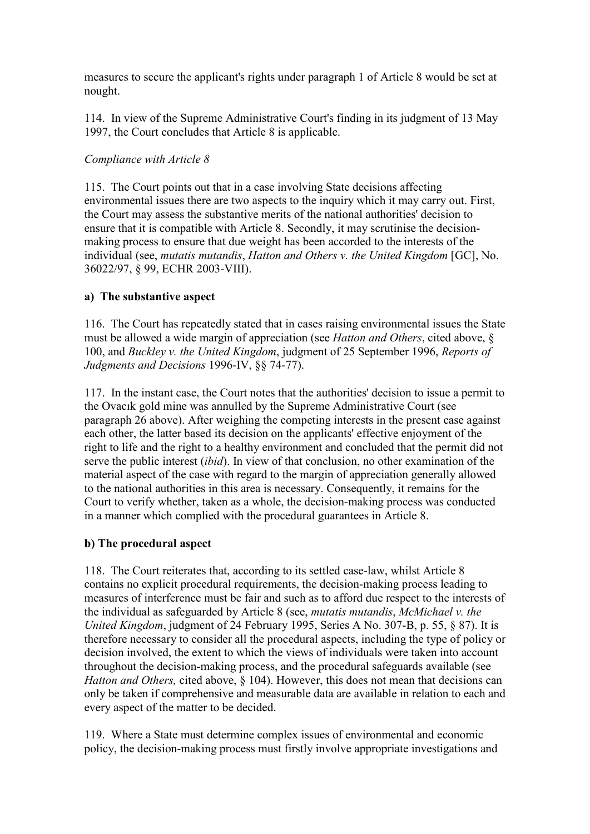measures to secure the applicant's rights under paragraph 1 of Article 8 would be set at nought.

114. In view of the Supreme Administrative Court's finding in its judgment of 13 May 1997, the Court concludes that Article 8 is applicable.

## *Compliance with Article 8*

115. The Court points out that in a case involving State decisions affecting environmental issues there are two aspects to the inquiry which it may carry out. First, the Court may assess the substantive merits of the national authorities' decision to ensure that it is compatible with Article 8. Secondly, it may scrutinise the decisionmaking process to ensure that due weight has been accorded to the interests of the individual (see, *mutatis mutandis*, *Hatton and Others v. the United Kingdom* [GC], No. 36022/97, § 99, ECHR 2003-VIII).

## **a) The substantive aspect**

116. The Court has repeatedly stated that in cases raising environmental issues the State must be allowed a wide margin of appreciation (see *Hatton and Others*, cited above, § 100, and *Buckley v. the United Kingdom*, judgment of 25 September 1996, *Reports of Judgments and Decisions* 1996-IV, §§ 74-77).

117. In the instant case, the Court notes that the authorities' decision to issue a permit to the Ovacık gold mine was annulled by the Supreme Administrative Court (see paragraph 26 above). After weighing the competing interests in the present case against each other, the latter based its decision on the applicants' effective enjoyment of the right to life and the right to a healthy environment and concluded that the permit did not serve the public interest (*ibid*). In view of that conclusion, no other examination of the material aspect of the case with regard to the margin of appreciation generally allowed to the national authorities in this area is necessary. Consequently, it remains for the Court to verify whether, taken as a whole, the decision-making process was conducted in a manner which complied with the procedural guarantees in Article 8.

# **b) The procedural aspect**

118. The Court reiterates that, according to its settled case-law, whilst Article 8 contains no explicit procedural requirements, the decision-making process leading to measures of interference must be fair and such as to afford due respect to the interests of the individual as safeguarded by Article 8 (see, *mutatis mutandis*, *McMichael v. the United Kingdom*, judgment of 24 February 1995, Series A No. 307-B, p. 55, § 87). It is therefore necessary to consider all the procedural aspects, including the type of policy or decision involved, the extent to which the views of individuals were taken into account throughout the decision-making process, and the procedural safeguards available (see *Hatton and Others, cited above, § 104). However, this does not mean that decisions can* only be taken if comprehensive and measurable data are available in relation to each and every aspect of the matter to be decided.

119. Where a State must determine complex issues of environmental and economic policy, the decision-making process must firstly involve appropriate investigations and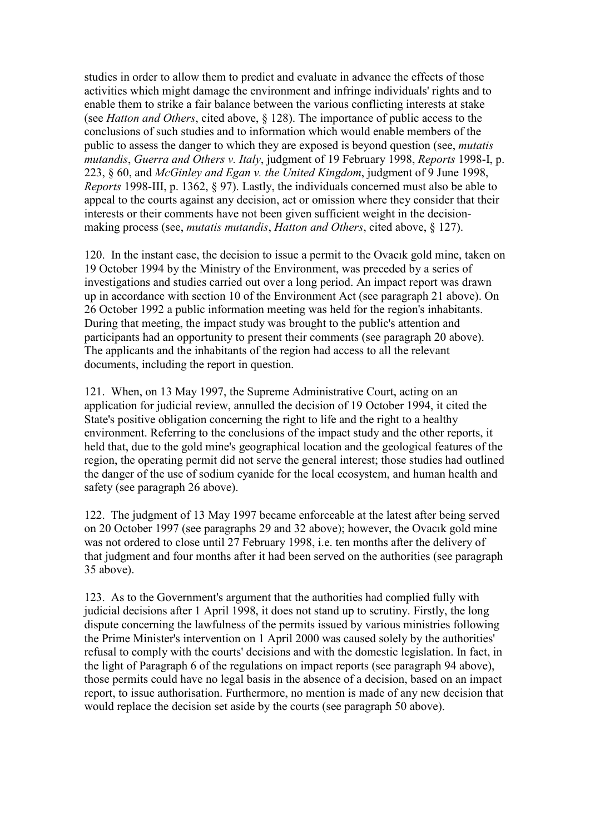studies in order to allow them to predict and evaluate in advance the effects of those activities which might damage the environment and infringe individuals' rights and to enable them to strike a fair balance between the various conflicting interests at stake (see *Hatton and Others*, cited above, § 128). The importance of public access to the conclusions of such studies and to information which would enable members of the public to assess the danger to which they are exposed is beyond question (see, *mutatis mutandis*, *Guerra and Others v. Italy*, judgment of 19 February 1998, *Reports* 1998-I, p. 223, § 60, and *McGinley and Egan v. the United Kingdom*, judgment of 9 June 1998, *Reports* 1998-III, p. 1362, § 97). Lastly, the individuals concerned must also be able to appeal to the courts against any decision, act or omission where they consider that their interests or their comments have not been given sufficient weight in the decisionmaking process (see, *mutatis mutandis*, *Hatton and Others*, cited above, § 127).

120. In the instant case, the decision to issue a permit to the Ovacık gold mine, taken on 19 October 1994 by the Ministry of the Environment, was preceded by a series of investigations and studies carried out over a long period. An impact report was drawn up in accordance with section 10 of the Environment Act (see paragraph 21 above). On 26 October 1992 a public information meeting was held for the region's inhabitants. During that meeting, the impact study was brought to the public's attention and participants had an opportunity to present their comments (see paragraph 20 above). The applicants and the inhabitants of the region had access to all the relevant documents, including the report in question.

121. When, on 13 May 1997, the Supreme Administrative Court, acting on an application for judicial review, annulled the decision of 19 October 1994, it cited the State's positive obligation concerning the right to life and the right to a healthy environment. Referring to the conclusions of the impact study and the other reports, it held that, due to the gold mine's geographical location and the geological features of the region, the operating permit did not serve the general interest; those studies had outlined the danger of the use of sodium cyanide for the local ecosystem, and human health and safety (see paragraph 26 above).

122. The judgment of 13 May 1997 became enforceable at the latest after being served on 20 October 1997 (see paragraphs 29 and 32 above); however, the Ovacık gold mine was not ordered to close until 27 February 1998, i.e. ten months after the delivery of that judgment and four months after it had been served on the authorities (see paragraph 35 above).

123. As to the Government's argument that the authorities had complied fully with judicial decisions after 1 April 1998, it does not stand up to scrutiny. Firstly, the long dispute concerning the lawfulness of the permits issued by various ministries following the Prime Minister's intervention on 1 April 2000 was caused solely by the authorities' refusal to comply with the courts' decisions and with the domestic legislation. In fact, in the light of Paragraph 6 of the regulations on impact reports (see paragraph 94 above), those permits could have no legal basis in the absence of a decision, based on an impact report, to issue authorisation. Furthermore, no mention is made of any new decision that would replace the decision set aside by the courts (see paragraph 50 above).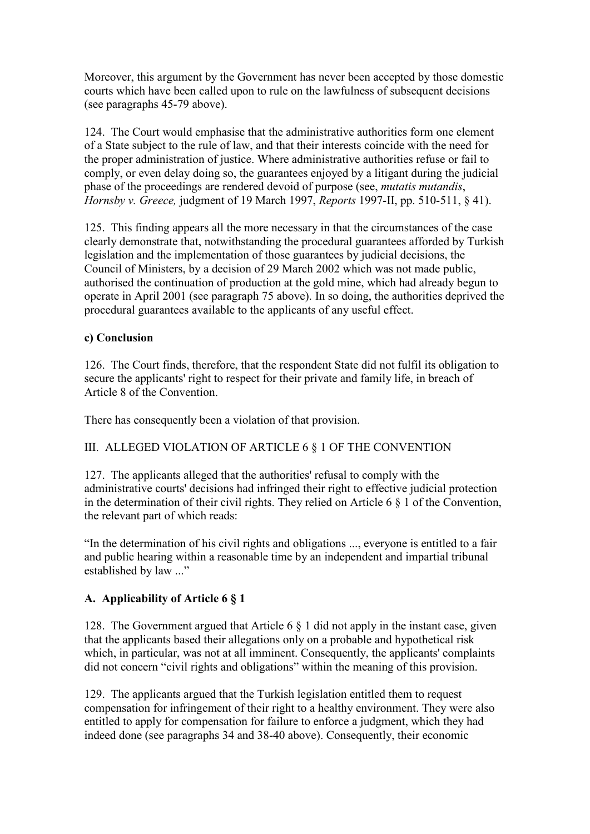Moreover, this argument by the Government has never been accepted by those domestic courts which have been called upon to rule on the lawfulness of subsequent decisions (see paragraphs 45-79 above).

124. The Court would emphasise that the administrative authorities form one element of a State subject to the rule of law, and that their interests coincide with the need for the proper administration of justice. Where administrative authorities refuse or fail to comply, or even delay doing so, the guarantees enjoyed by a litigant during the judicial phase of the proceedings are rendered devoid of purpose (see, *mutatis mutandis*, *Hornsby v. Greece,* judgment of 19 March 1997, *Reports* 1997-II, pp. 510-511, § 41).

125. This finding appears all the more necessary in that the circumstances of the case clearly demonstrate that, notwithstanding the procedural guarantees afforded by Turkish legislation and the implementation of those guarantees by judicial decisions, the Council of Ministers, by a decision of 29 March 2002 which was not made public, authorised the continuation of production at the gold mine, which had already begun to operate in April 2001 (see paragraph 75 above). In so doing, the authorities deprived the procedural guarantees available to the applicants of any useful effect.

## **c) Conclusion**

126. The Court finds, therefore, that the respondent State did not fulfil its obligation to secure the applicants' right to respect for their private and family life, in breach of Article 8 of the Convention.

There has consequently been a violation of that provision.

## III. ALLEGED VIOLATION OF ARTICLE 6 § 1 OF THE CONVENTION

127. The applicants alleged that the authorities' refusal to comply with the administrative courts' decisions had infringed their right to effective judicial protection in the determination of their civil rights. They relied on Article 6  $\S$  1 of the Convention, the relevant part of which reads:

"In the determination of his civil rights and obligations ..., everyone is entitled to a fair and public hearing within a reasonable time by an independent and impartial tribunal established by law ..."

# **A. Applicability of Article 6 § 1**

128. The Government argued that Article 6 § 1 did not apply in the instant case, given that the applicants based their allegations only on a probable and hypothetical risk which, in particular, was not at all imminent. Consequently, the applicants' complaints did not concern "civil rights and obligations" within the meaning of this provision.

129. The applicants argued that the Turkish legislation entitled them to request compensation for infringement of their right to a healthy environment. They were also entitled to apply for compensation for failure to enforce a judgment, which they had indeed done (see paragraphs 34 and 38-40 above). Consequently, their economic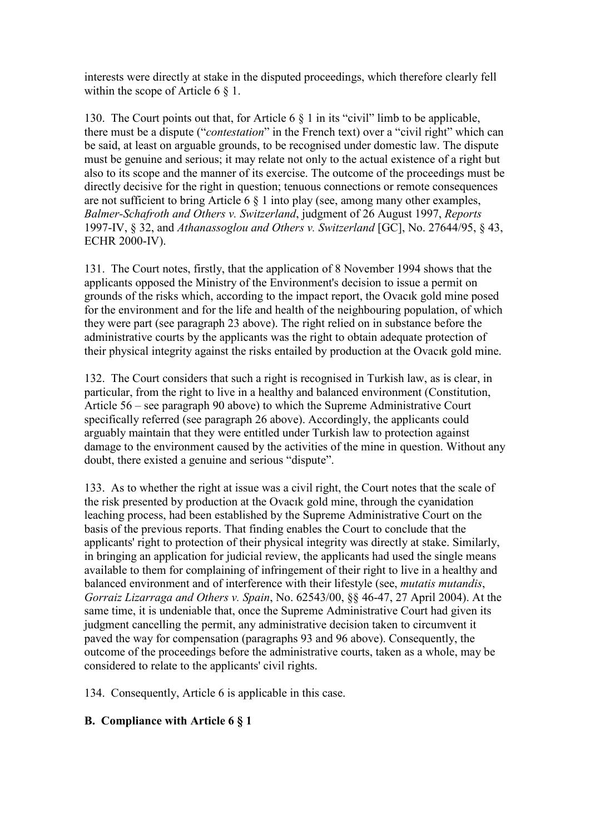interests were directly at stake in the disputed proceedings, which therefore clearly fell within the scope of Article 6  $\S$  1.

130. The Court points out that, for Article 6 § 1 in its "civil" limb to be applicable, there must be a dispute ("*contestation*" in the French text) over a "civil right" which can be said, at least on arguable grounds, to be recognised under domestic law. The dispute must be genuine and serious; it may relate not only to the actual existence of a right but also to its scope and the manner of its exercise. The outcome of the proceedings must be directly decisive for the right in question; tenuous connections or remote consequences are not sufficient to bring Article 6 § 1 into play (see, among many other examples, *Balmer-Schafroth and Others v. Switzerland*, judgment of 26 August 1997, *Reports*  1997-IV, § 32, and *Athanassoglou and Others v. Switzerland* [GC], No. 27644/95, § 43, ECHR 2000-IV).

131. The Court notes, firstly, that the application of 8 November 1994 shows that the applicants opposed the Ministry of the Environment's decision to issue a permit on grounds of the risks which, according to the impact report, the Ovacık gold mine posed for the environment and for the life and health of the neighbouring population, of which they were part (see paragraph 23 above). The right relied on in substance before the administrative courts by the applicants was the right to obtain adequate protection of their physical integrity against the risks entailed by production at the Ovacık gold mine.

132. The Court considers that such a right is recognised in Turkish law, as is clear, in particular, from the right to live in a healthy and balanced environment (Constitution, Article 56 – see paragraph 90 above) to which the Supreme Administrative Court specifically referred (see paragraph 26 above). Accordingly, the applicants could arguably maintain that they were entitled under Turkish law to protection against damage to the environment caused by the activities of the mine in question. Without any doubt, there existed a genuine and serious "dispute".

133. As to whether the right at issue was a civil right, the Court notes that the scale of the risk presented by production at the Ovacık gold mine, through the cyanidation leaching process, had been established by the Supreme Administrative Court on the basis of the previous reports. That finding enables the Court to conclude that the applicants' right to protection of their physical integrity was directly at stake. Similarly, in bringing an application for judicial review, the applicants had used the single means available to them for complaining of infringement of their right to live in a healthy and balanced environment and of interference with their lifestyle (see, *mutatis mutandis*, *Gorraiz Lizarraga and Others v. Spain*, No. 62543/00, §§ 46-47, 27 April 2004). At the same time, it is undeniable that, once the Supreme Administrative Court had given its judgment cancelling the permit, any administrative decision taken to circumvent it paved the way for compensation (paragraphs 93 and 96 above). Consequently, the outcome of the proceedings before the administrative courts, taken as a whole, may be considered to relate to the applicants' civil rights.

134. Consequently, Article 6 is applicable in this case.

## **B. Compliance with Article 6 § 1**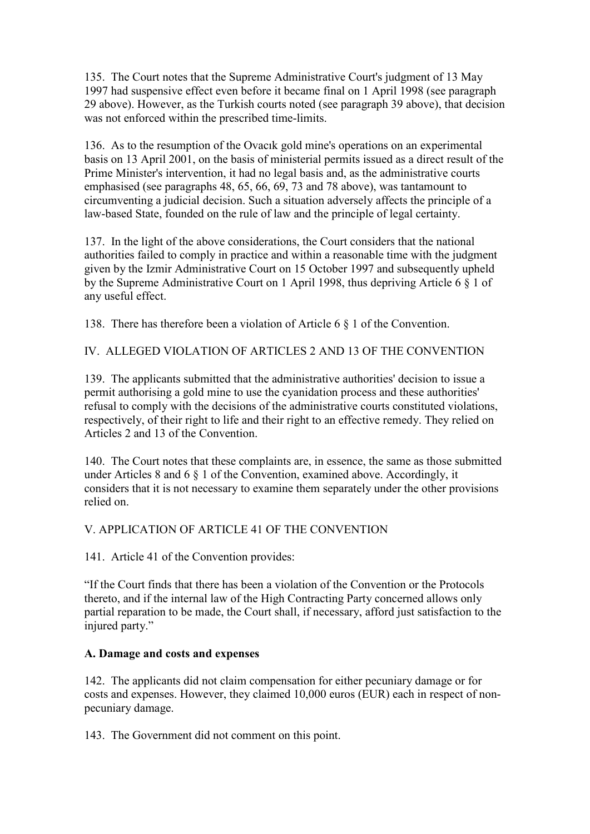135. The Court notes that the Supreme Administrative Court's judgment of 13 May 1997 had suspensive effect even before it became final on 1 April 1998 (see paragraph 29 above). However, as the Turkish courts noted (see paragraph 39 above), that decision was not enforced within the prescribed time-limits.

136. As to the resumption of the Ovacık gold mine's operations on an experimental basis on 13 April 2001, on the basis of ministerial permits issued as a direct result of the Prime Minister's intervention, it had no legal basis and, as the administrative courts emphasised (see paragraphs 48, 65, 66, 69, 73 and 78 above), was tantamount to circumventing a judicial decision. Such a situation adversely affects the principle of a law-based State, founded on the rule of law and the principle of legal certainty.

137. In the light of the above considerations, the Court considers that the national authorities failed to comply in practice and within a reasonable time with the judgment given by the Izmir Administrative Court on 15 October 1997 and subsequently upheld by the Supreme Administrative Court on 1 April 1998, thus depriving Article 6 § 1 of any useful effect.

138. There has therefore been a violation of Article 6 § 1 of the Convention.

IV. ALLEGED VIOLATION OF ARTICLES 2 AND 13 OF THE CONVENTION

139. The applicants submitted that the administrative authorities' decision to issue a permit authorising a gold mine to use the cyanidation process and these authorities' refusal to comply with the decisions of the administrative courts constituted violations, respectively, of their right to life and their right to an effective remedy. They relied on Articles 2 and 13 of the Convention.

140. The Court notes that these complaints are, in essence, the same as those submitted under Articles 8 and 6 § 1 of the Convention, examined above. Accordingly, it considers that it is not necessary to examine them separately under the other provisions relied on.

# V. APPLICATION OF ARTICLE 41 OF THE CONVENTION

141. Article 41 of the Convention provides:

"If the Court finds that there has been a violation of the Convention or the Protocols thereto, and if the internal law of the High Contracting Party concerned allows only partial reparation to be made, the Court shall, if necessary, afford just satisfaction to the injured party."

## **A. Damage and costs and expenses**

142. The applicants did not claim compensation for either pecuniary damage or for costs and expenses. However, they claimed 10,000 euros (EUR) each in respect of nonpecuniary damage.

143. The Government did not comment on this point.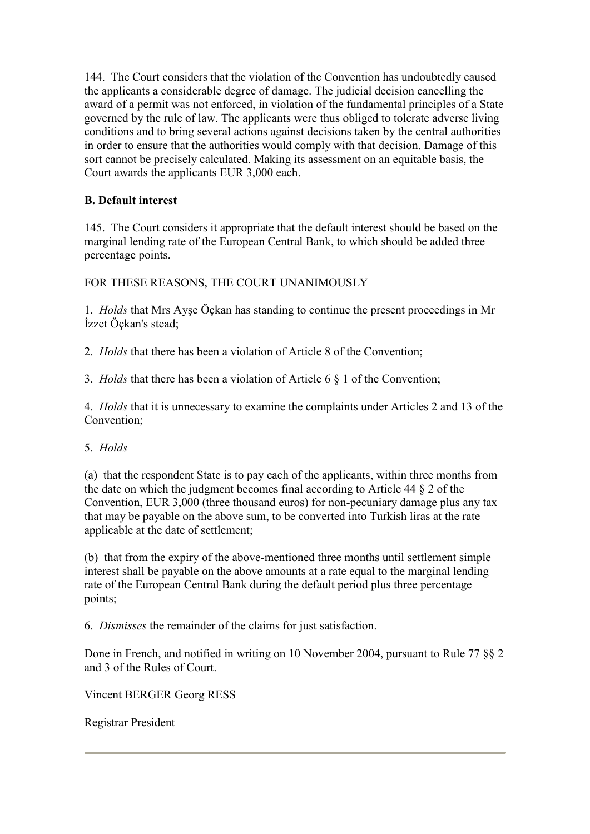144. The Court considers that the violation of the Convention has undoubtedly caused the applicants a considerable degree of damage. The judicial decision cancelling the award of a permit was not enforced, in violation of the fundamental principles of a State governed by the rule of law. The applicants were thus obliged to tolerate adverse living conditions and to bring several actions against decisions taken by the central authorities in order to ensure that the authorities would comply with that decision. Damage of this sort cannot be precisely calculated. Making its assessment on an equitable basis, the Court awards the applicants EUR 3,000 each.

# **B. Default interest**

145. The Court considers it appropriate that the default interest should be based on the marginal lending rate of the European Central Bank, to which should be added three percentage points.

FOR THESE REASONS, THE COURT UNANIMOUSLY

1. *Holds* that Mrs Ayşe Öçkan has standing to continue the present proceedings in Mr İzzet Öçkan's stead;

2. *Holds* that there has been a violation of Article 8 of the Convention;

3. *Holds* that there has been a violation of Article 6 § 1 of the Convention;

4. *Holds* that it is unnecessary to examine the complaints under Articles 2 and 13 of the Convention;

## 5. *Holds*

(a) that the respondent State is to pay each of the applicants, within three months from the date on which the judgment becomes final according to Article 44 § 2 of the Convention, EUR 3,000 (three thousand euros) for non-pecuniary damage plus any tax that may be payable on the above sum, to be converted into Turkish liras at the rate applicable at the date of settlement;

(b) that from the expiry of the above-mentioned three months until settlement simple interest shall be payable on the above amounts at a rate equal to the marginal lending rate of the European Central Bank during the default period plus three percentage points;

6. *Dismisses* the remainder of the claims for just satisfaction.

Done in French, and notified in writing on 10 November 2004, pursuant to Rule 77 §§ 2 and 3 of the Rules of Court.

Vincent BERGER Georg RESS

Registrar President